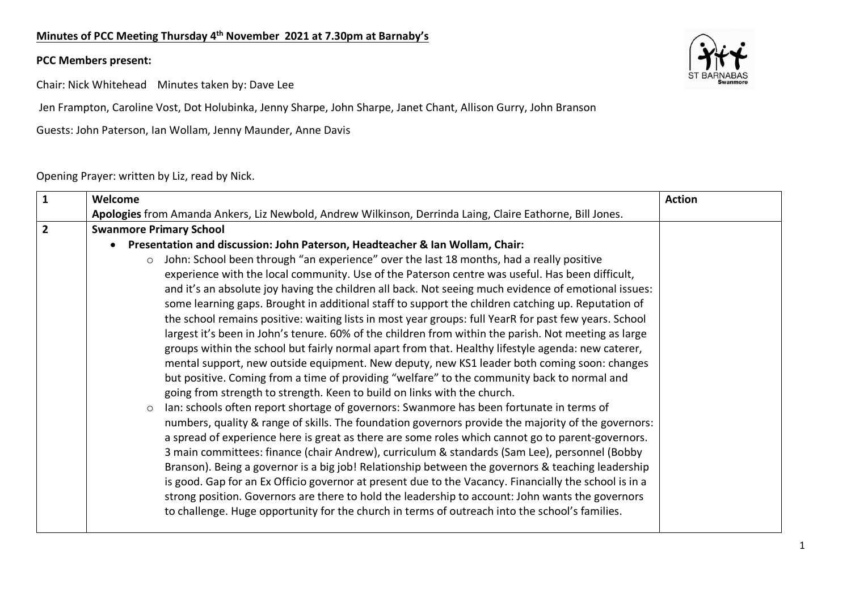## **Minutes of PCC Meeting Thursday 4th November 2021 at 7.30pm at Barnaby's**

## **PCC Members present:**

Chair: Nick Whitehead Minutes taken by: Dave Lee

Jen Frampton, Caroline Vost, Dot Holubinka, Jenny Sharpe, John Sharpe, Janet Chant, Allison Gurry, John Branson

Guests: John Paterson, Ian Wollam, Jenny Maunder, Anne Davis

## Opening Prayer: written by Liz, read by Nick.



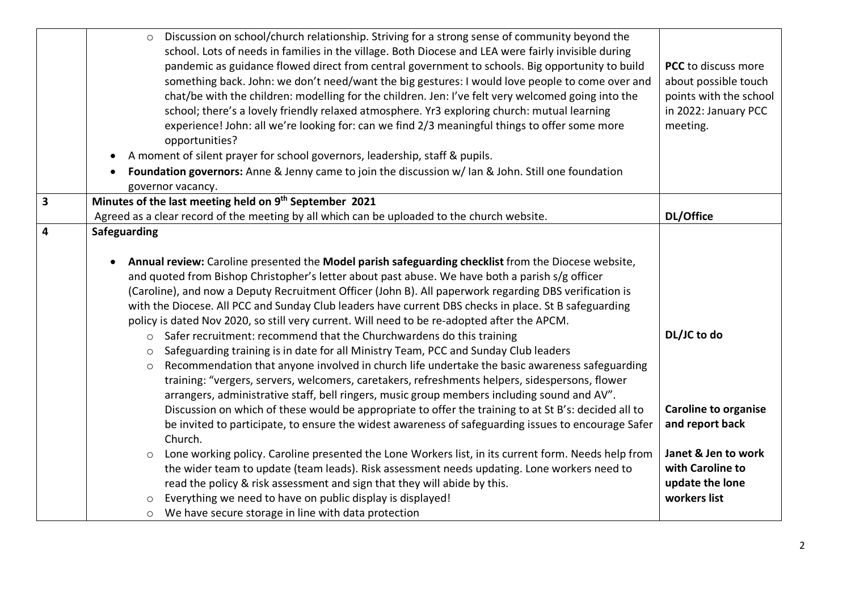|                         | Discussion on school/church relationship. Striving for a strong sense of community beyond the<br>$\circ$<br>school. Lots of needs in families in the village. Both Diocese and LEA were fairly invisible during<br>pandemic as guidance flowed direct from central government to schools. Big opportunity to build<br>something back. John: we don't need/want the big gestures: I would love people to come over and<br>chat/be with the children: modelling for the children. Jen: I've felt very welcomed going into the<br>school; there's a lovely friendly relaxed atmosphere. Yr3 exploring church: mutual learning<br>experience! John: all we're looking for: can we find 2/3 meaningful things to offer some more<br>opportunities?<br>A moment of silent prayer for school governors, leadership, staff & pupils.<br>$\bullet$<br>Foundation governors: Anne & Jenny came to join the discussion w/ Ian & John. Still one foundation<br>governor vacancy.                                                                                                                                                                                                                                                                                                                                                                                                                                                                                                                                                                                                                                                                                                                           | PCC to discuss more<br>about possible touch<br>points with the school<br>in 2022: January PCC<br>meeting.                                   |
|-------------------------|------------------------------------------------------------------------------------------------------------------------------------------------------------------------------------------------------------------------------------------------------------------------------------------------------------------------------------------------------------------------------------------------------------------------------------------------------------------------------------------------------------------------------------------------------------------------------------------------------------------------------------------------------------------------------------------------------------------------------------------------------------------------------------------------------------------------------------------------------------------------------------------------------------------------------------------------------------------------------------------------------------------------------------------------------------------------------------------------------------------------------------------------------------------------------------------------------------------------------------------------------------------------------------------------------------------------------------------------------------------------------------------------------------------------------------------------------------------------------------------------------------------------------------------------------------------------------------------------------------------------------------------------------------------------------------------------|---------------------------------------------------------------------------------------------------------------------------------------------|
| $\overline{\mathbf{3}}$ | Minutes of the last meeting held on 9th September 2021                                                                                                                                                                                                                                                                                                                                                                                                                                                                                                                                                                                                                                                                                                                                                                                                                                                                                                                                                                                                                                                                                                                                                                                                                                                                                                                                                                                                                                                                                                                                                                                                                                         | DL/Office                                                                                                                                   |
| $\overline{\mathbf{4}}$ | Agreed as a clear record of the meeting by all which can be uploaded to the church website.<br>Safeguarding                                                                                                                                                                                                                                                                                                                                                                                                                                                                                                                                                                                                                                                                                                                                                                                                                                                                                                                                                                                                                                                                                                                                                                                                                                                                                                                                                                                                                                                                                                                                                                                    |                                                                                                                                             |
|                         | Annual review: Caroline presented the Model parish safeguarding checklist from the Diocese website,<br>$\bullet$<br>and quoted from Bishop Christopher's letter about past abuse. We have both a parish s/g officer<br>(Caroline), and now a Deputy Recruitment Officer (John B). All paperwork regarding DBS verification is<br>with the Diocese. All PCC and Sunday Club leaders have current DBS checks in place. St B safeguarding<br>policy is dated Nov 2020, so still very current. Will need to be re-adopted after the APCM.<br>Safer recruitment: recommend that the Churchwardens do this training<br>$\circ$<br>Safeguarding training is in date for all Ministry Team, PCC and Sunday Club leaders<br>$\circ$<br>Recommendation that anyone involved in church life undertake the basic awareness safeguarding<br>$\circ$<br>training: "vergers, servers, welcomers, caretakers, refreshments helpers, sidespersons, flower<br>arrangers, administrative staff, bell ringers, music group members including sound and AV".<br>Discussion on which of these would be appropriate to offer the training to at St B's: decided all to<br>be invited to participate, to ensure the widest awareness of safeguarding issues to encourage Safer<br>Church.<br>Lone working policy. Caroline presented the Lone Workers list, in its current form. Needs help from<br>$\circ$<br>the wider team to update (team leads). Risk assessment needs updating. Lone workers need to<br>read the policy & risk assessment and sign that they will abide by this.<br>Everything we need to have on public display is displayed!<br>We have secure storage in line with data protection<br>$\circ$ | DL/JC to do<br><b>Caroline to organise</b><br>and report back<br>Janet & Jen to work<br>with Caroline to<br>update the lone<br>workers list |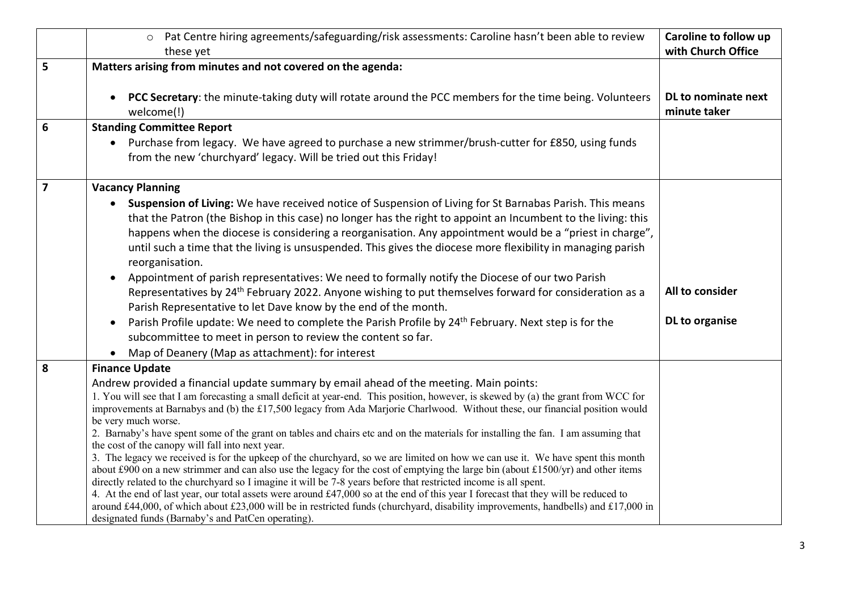|                 | Pat Centre hiring agreements/safeguarding/risk assessments: Caroline hasn't been able to review<br>$\circ$<br>these yet                                                                                                                                                                                                                                                                                                                                                                                                                                                                                                                                                                                                                                                                                                                                                                                                                                                                                                                                                                                                                                                                                                                                                                                     | Caroline to follow up<br>with Church Office |
|-----------------|-------------------------------------------------------------------------------------------------------------------------------------------------------------------------------------------------------------------------------------------------------------------------------------------------------------------------------------------------------------------------------------------------------------------------------------------------------------------------------------------------------------------------------------------------------------------------------------------------------------------------------------------------------------------------------------------------------------------------------------------------------------------------------------------------------------------------------------------------------------------------------------------------------------------------------------------------------------------------------------------------------------------------------------------------------------------------------------------------------------------------------------------------------------------------------------------------------------------------------------------------------------------------------------------------------------|---------------------------------------------|
| 5               | Matters arising from minutes and not covered on the agenda:                                                                                                                                                                                                                                                                                                                                                                                                                                                                                                                                                                                                                                                                                                                                                                                                                                                                                                                                                                                                                                                                                                                                                                                                                                                 |                                             |
|                 | PCC Secretary: the minute-taking duty will rotate around the PCC members for the time being. Volunteers<br>welcome(!)                                                                                                                                                                                                                                                                                                                                                                                                                                                                                                                                                                                                                                                                                                                                                                                                                                                                                                                                                                                                                                                                                                                                                                                       | DL to nominate next<br>minute taker         |
| $6\phantom{1}6$ | <b>Standing Committee Report</b>                                                                                                                                                                                                                                                                                                                                                                                                                                                                                                                                                                                                                                                                                                                                                                                                                                                                                                                                                                                                                                                                                                                                                                                                                                                                            |                                             |
|                 | • Purchase from legacy. We have agreed to purchase a new strimmer/brush-cutter for £850, using funds<br>from the new 'churchyard' legacy. Will be tried out this Friday!                                                                                                                                                                                                                                                                                                                                                                                                                                                                                                                                                                                                                                                                                                                                                                                                                                                                                                                                                                                                                                                                                                                                    |                                             |
| $\overline{7}$  | <b>Vacancy Planning</b>                                                                                                                                                                                                                                                                                                                                                                                                                                                                                                                                                                                                                                                                                                                                                                                                                                                                                                                                                                                                                                                                                                                                                                                                                                                                                     |                                             |
|                 | Suspension of Living: We have received notice of Suspension of Living for St Barnabas Parish. This means<br>that the Patron (the Bishop in this case) no longer has the right to appoint an Incumbent to the living: this<br>happens when the diocese is considering a reorganisation. Any appointment would be a "priest in charge",<br>until such a time that the living is unsuspended. This gives the diocese more flexibility in managing parish<br>reorganisation.<br>Appointment of parish representatives: We need to formally notify the Diocese of our two Parish<br>Representatives by 24 <sup>th</sup> February 2022. Anyone wishing to put themselves forward for consideration as a<br>Parish Representative to let Dave know by the end of the month.<br>Parish Profile update: We need to complete the Parish Profile by 24 <sup>th</sup> February. Next step is for the<br>subcommittee to meet in person to review the content so far.<br>Map of Deanery (Map as attachment): for interest                                                                                                                                                                                                                                                                                                | All to consider<br>DL to organise           |
| 8               | <b>Finance Update</b>                                                                                                                                                                                                                                                                                                                                                                                                                                                                                                                                                                                                                                                                                                                                                                                                                                                                                                                                                                                                                                                                                                                                                                                                                                                                                       |                                             |
|                 | Andrew provided a financial update summary by email ahead of the meeting. Main points:<br>1. You will see that I am forecasting a small deficit at year-end. This position, however, is skewed by (a) the grant from WCC for<br>improvements at Barnabys and (b) the £17,500 legacy from Ada Marjorie Charlwood. Without these, our financial position would<br>be very much worse.<br>2. Barnaby's have spent some of the grant on tables and chairs etc and on the materials for installing the fan. I am assuming that<br>the cost of the canopy will fall into next year.<br>3. The legacy we received is for the upkeep of the churchyard, so we are limited on how we can use it. We have spent this month<br>about £900 on a new strimmer and can also use the legacy for the cost of emptying the large bin (about £1500/yr) and other items<br>directly related to the churchyard so I imagine it will be 7-8 years before that restricted income is all spent.<br>4. At the end of last year, our total assets were around £47,000 so at the end of this year I forecast that they will be reduced to<br>around £44,000, of which about £23,000 will be in restricted funds (churchyard, disability improvements, handbells) and £17,000 in<br>designated funds (Barnaby's and PatCen operating). |                                             |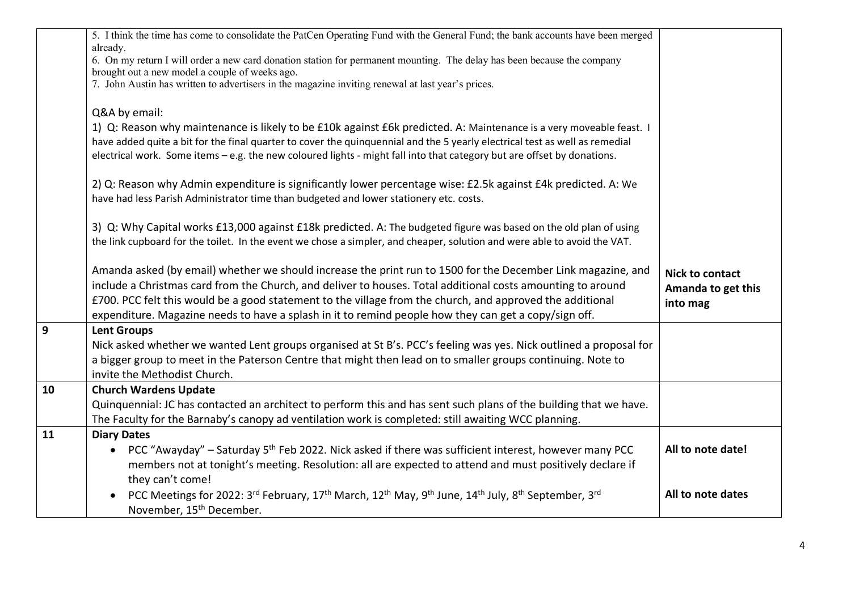|                | 5. I think the time has come to consolidate the PatCen Operating Fund with the General Fund; the bank accounts have been merged<br>already.<br>6. On my return I will order a new card donation station for permanent mounting. The delay has been because the company<br>brought out a new model a couple of weeks ago.<br>7. John Austin has written to advertisers in the magazine inviting renewal at last year's prices.<br>Q&A by email:<br>1) Q: Reason why maintenance is likely to be £10k against £6k predicted. A: Maintenance is a very moveable feast. I<br>have added quite a bit for the final quarter to cover the quinquennial and the 5 yearly electrical test as well as remedial<br>electrical work. Some items - e.g. the new coloured lights - might fall into that category but are offset by donations. |                                                          |
|----------------|---------------------------------------------------------------------------------------------------------------------------------------------------------------------------------------------------------------------------------------------------------------------------------------------------------------------------------------------------------------------------------------------------------------------------------------------------------------------------------------------------------------------------------------------------------------------------------------------------------------------------------------------------------------------------------------------------------------------------------------------------------------------------------------------------------------------------------|----------------------------------------------------------|
|                | 2) Q: Reason why Admin expenditure is significantly lower percentage wise: £2.5k against £4k predicted. A: We<br>have had less Parish Administrator time than budgeted and lower stationery etc. costs.                                                                                                                                                                                                                                                                                                                                                                                                                                                                                                                                                                                                                         |                                                          |
|                | 3) Q: Why Capital works £13,000 against £18k predicted. A: The budgeted figure was based on the old plan of using<br>the link cupboard for the toilet. In the event we chose a simpler, and cheaper, solution and were able to avoid the VAT.                                                                                                                                                                                                                                                                                                                                                                                                                                                                                                                                                                                   |                                                          |
|                | Amanda asked (by email) whether we should increase the print run to 1500 for the December Link magazine, and<br>include a Christmas card from the Church, and deliver to houses. Total additional costs amounting to around<br>£700. PCC felt this would be a good statement to the village from the church, and approved the additional<br>expenditure. Magazine needs to have a splash in it to remind people how they can get a copy/sign off.                                                                                                                                                                                                                                                                                                                                                                               | <b>Nick to contact</b><br>Amanda to get this<br>into mag |
| $\overline{9}$ | <b>Lent Groups</b><br>Nick asked whether we wanted Lent groups organised at St B's. PCC's feeling was yes. Nick outlined a proposal for<br>a bigger group to meet in the Paterson Centre that might then lead on to smaller groups continuing. Note to<br>invite the Methodist Church.                                                                                                                                                                                                                                                                                                                                                                                                                                                                                                                                          |                                                          |
| 10             | <b>Church Wardens Update</b><br>Quinquennial: JC has contacted an architect to perform this and has sent such plans of the building that we have.<br>The Faculty for the Barnaby's canopy ad ventilation work is completed: still awaiting WCC planning.                                                                                                                                                                                                                                                                                                                                                                                                                                                                                                                                                                        |                                                          |
| 11             | <b>Diary Dates</b><br>PCC "Awayday" – Saturday 5 <sup>th</sup> Feb 2022. Nick asked if there was sufficient interest, however many PCC<br>$\bullet$<br>members not at tonight's meeting. Resolution: all are expected to attend and must positively declare if<br>they can't come!                                                                                                                                                                                                                                                                                                                                                                                                                                                                                                                                              | All to note date!                                        |
|                | PCC Meetings for 2022: 3 <sup>rd</sup> February, 17 <sup>th</sup> March, 12 <sup>th</sup> May, 9 <sup>th</sup> June, 14 <sup>th</sup> July, 8 <sup>th</sup> September, 3 <sup>rd</sup><br>November, 15 <sup>th</sup> December.                                                                                                                                                                                                                                                                                                                                                                                                                                                                                                                                                                                                  | All to note dates                                        |